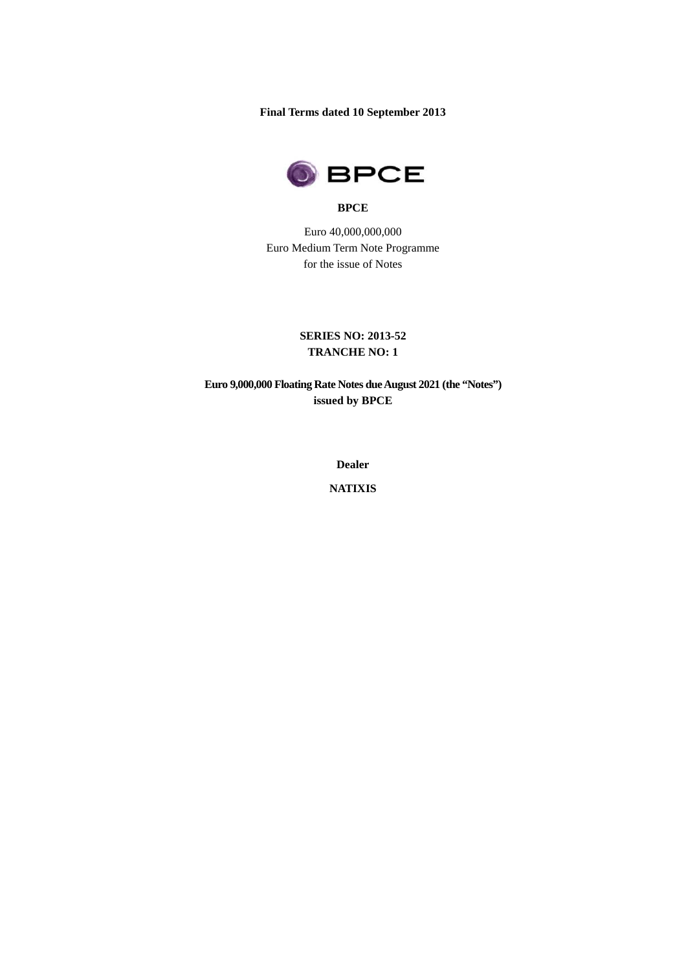**Final Terms dated 10 September 2013** 



#### **BPCE**

Euro 40,000,000,000 Euro Medium Term Note Programme for the issue of Notes

# **SERIES NO: 2013-52 TRANCHE NO: 1**

**Euro 9,000,000 Floating Rate Notes due August 2021 (the "Notes") issued by BPCE** 

**Dealer** 

**NATIXIS**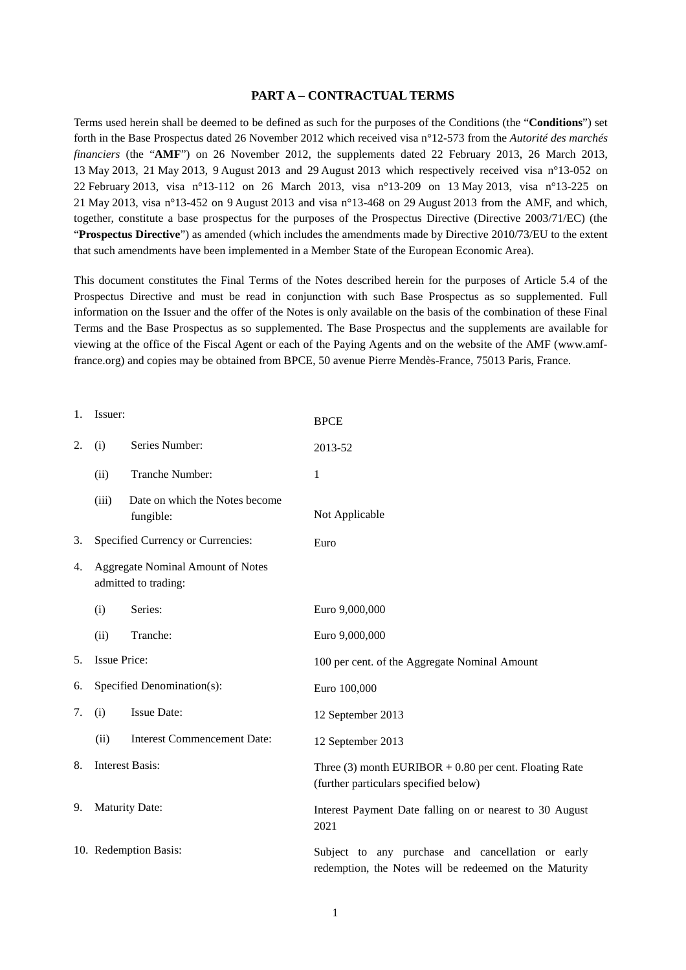### **PART A – CONTRACTUAL TERMS**

Terms used herein shall be deemed to be defined as such for the purposes of the Conditions (the "**Conditions**") set forth in the Base Prospectus dated 26 November 2012 which received visa n°12-573 from the *Autorité des marchés financiers* (the "**AMF**") on 26 November 2012, the supplements dated 22 February 2013, 26 March 2013, 13 May 2013, 21 May 2013, 9 August 2013 and 29 August 2013 which respectively received visa n°13-052 on 22 February 2013, visa n°13-112 on 26 March 2013, visa n°13-209 on 13 May 2013, visa n°13-225 on 21 May 2013, visa n°13-452 on 9 August 2013 and visa n°13-468 on 29 August 2013 from the AMF, and which, together, constitute a base prospectus for the purposes of the Prospectus Directive (Directive 2003/71/EC) (the "**Prospectus Directive**") as amended (which includes the amendments made by Directive 2010/73/EU to the extent that such amendments have been implemented in a Member State of the European Economic Area).

This document constitutes the Final Terms of the Notes described herein for the purposes of Article 5.4 of the Prospectus Directive and must be read in conjunction with such Base Prospectus as so supplemented. Full information on the Issuer and the offer of the Notes is only available on the basis of the combination of these Final Terms and the Base Prospectus as so supplemented. The Base Prospectus and the supplements are available for viewing at the office of the Fiscal Agent or each of the Paying Agents and on the website of the AMF (www.amffrance.org) and copies may be obtained from BPCE, 50 avenue Pierre Mendès-France, 75013 Paris, France.

| 1. | Issuer:                                                          |                                             | <b>BPCE</b>                                                                                                 |
|----|------------------------------------------------------------------|---------------------------------------------|-------------------------------------------------------------------------------------------------------------|
| 2. | (i)                                                              | Series Number:                              | 2013-52                                                                                                     |
|    | (ii)                                                             | Tranche Number:                             | 1                                                                                                           |
|    | (iii)                                                            | Date on which the Notes become<br>fungible: | Not Applicable                                                                                              |
| 3. | Specified Currency or Currencies:                                |                                             | Euro                                                                                                        |
| 4. | <b>Aggregate Nominal Amount of Notes</b><br>admitted to trading: |                                             |                                                                                                             |
|    | (i)                                                              | Series:                                     | Euro 9,000,000                                                                                              |
|    | (ii)                                                             | Tranche:                                    | Euro 9,000,000                                                                                              |
| 5. | <b>Issue Price:</b>                                              |                                             | 100 per cent. of the Aggregate Nominal Amount                                                               |
| 6. |                                                                  | Specified Denomination(s):                  | Euro 100,000                                                                                                |
| 7. | (i)                                                              | <b>Issue Date:</b>                          | 12 September 2013                                                                                           |
|    | (ii)                                                             | <b>Interest Commencement Date:</b>          | 12 September 2013                                                                                           |
| 8. | <b>Interest Basis:</b>                                           |                                             | Three $(3)$ month EURIBOR + 0.80 per cent. Floating Rate<br>(further particulars specified below)           |
| 9. |                                                                  | <b>Maturity Date:</b>                       | Interest Payment Date falling on or nearest to 30 August<br>2021                                            |
|    |                                                                  | 10. Redemption Basis:                       | Subject to any purchase and cancellation or early<br>redemption, the Notes will be redeemed on the Maturity |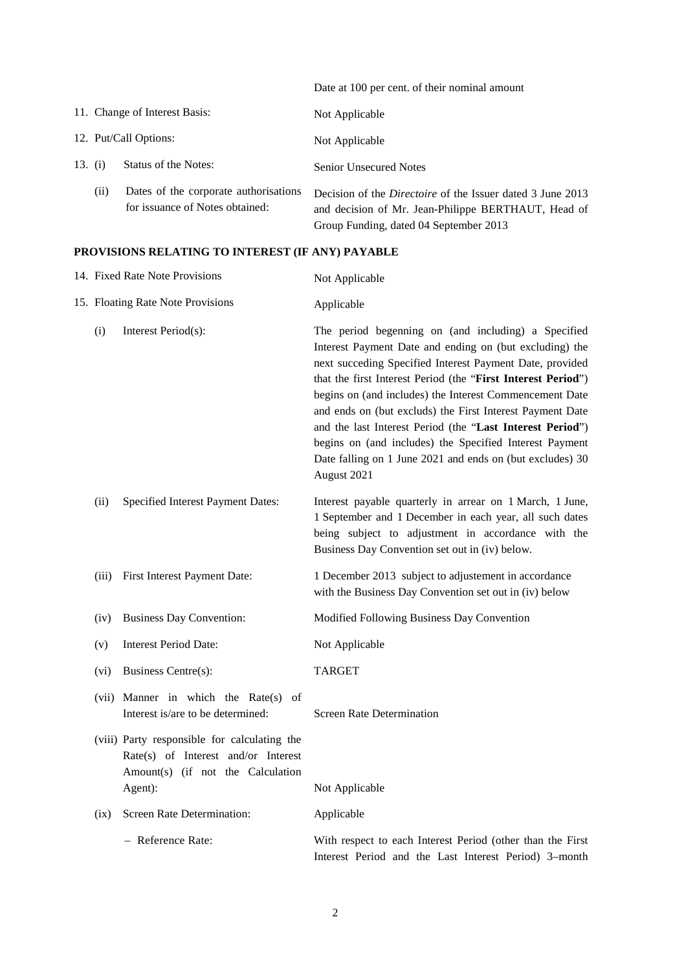|         |     |                                                                          | Date at 100 per cent. of their nominal amount                                                                                                                      |
|---------|-----|--------------------------------------------------------------------------|--------------------------------------------------------------------------------------------------------------------------------------------------------------------|
|         |     | 11. Change of Interest Basis:                                            | Not Applicable                                                                                                                                                     |
|         |     | 12. Put/Call Options:                                                    | Not Applicable                                                                                                                                                     |
| 13. (i) |     | Status of the Notes:                                                     | <b>Senior Unsecured Notes</b>                                                                                                                                      |
|         | (i) | Dates of the corporate authorisations<br>for issuance of Notes obtained: | Decision of the <i>Directoire</i> of the Issuer dated 3 June 2013<br>and decision of Mr. Jean-Philippe BERTHAUT, Head of<br>Group Funding, dated 04 September 2013 |

# **PROVISIONS RELATING TO INTEREST (IF ANY) PAYABLE**

|                                   | 14. Fixed Rate Note Provisions                                                                                                      | Not Applicable                                                                                                                                                                                                                                                                                                                                                                                                                                                                                                                                                         |
|-----------------------------------|-------------------------------------------------------------------------------------------------------------------------------------|------------------------------------------------------------------------------------------------------------------------------------------------------------------------------------------------------------------------------------------------------------------------------------------------------------------------------------------------------------------------------------------------------------------------------------------------------------------------------------------------------------------------------------------------------------------------|
| 15. Floating Rate Note Provisions |                                                                                                                                     | Applicable                                                                                                                                                                                                                                                                                                                                                                                                                                                                                                                                                             |
| (i)                               | Interest Period(s):                                                                                                                 | The period begenning on (and including) a Specified<br>Interest Payment Date and ending on (but excluding) the<br>next succeding Specified Interest Payment Date, provided<br>that the first Interest Period (the "First Interest Period")<br>begins on (and includes) the Interest Commencement Date<br>and ends on (but excluds) the First Interest Payment Date<br>and the last Interest Period (the "Last Interest Period")<br>begins on (and includes) the Specified Interest Payment<br>Date falling on 1 June 2021 and ends on (but excludes) 30<br>August 2021 |
| (ii)                              | Specified Interest Payment Dates:                                                                                                   | Interest payable quarterly in arrear on 1 March, 1 June,<br>1 September and 1 December in each year, all such dates<br>being subject to adjustment in accordance with the<br>Business Day Convention set out in (iv) below.                                                                                                                                                                                                                                                                                                                                            |
| (iii)                             | First Interest Payment Date:                                                                                                        | 1 December 2013 subject to adjustement in accordance<br>with the Business Day Convention set out in (iv) below                                                                                                                                                                                                                                                                                                                                                                                                                                                         |
| (iv)                              | <b>Business Day Convention:</b>                                                                                                     | Modified Following Business Day Convention                                                                                                                                                                                                                                                                                                                                                                                                                                                                                                                             |
| (v)                               | <b>Interest Period Date:</b>                                                                                                        | Not Applicable                                                                                                                                                                                                                                                                                                                                                                                                                                                                                                                                                         |
| (vi)                              | Business Centre(s):                                                                                                                 | <b>TARGET</b>                                                                                                                                                                                                                                                                                                                                                                                                                                                                                                                                                          |
|                                   | (vii) Manner in which the Rate(s) of<br>Interest is/are to be determined:                                                           | <b>Screen Rate Determination</b>                                                                                                                                                                                                                                                                                                                                                                                                                                                                                                                                       |
|                                   | (viii) Party responsible for calculating the<br>Rate(s) of Interest and/or Interest<br>Amount(s) (if not the Calculation<br>Agent): | Not Applicable                                                                                                                                                                                                                                                                                                                                                                                                                                                                                                                                                         |
| (ix)                              | Screen Rate Determination:                                                                                                          | Applicable                                                                                                                                                                                                                                                                                                                                                                                                                                                                                                                                                             |
|                                   | - Reference Rate:                                                                                                                   | With respect to each Interest Period (other than the First<br>Interest Period and the Last Interest Period) 3-month                                                                                                                                                                                                                                                                                                                                                                                                                                                    |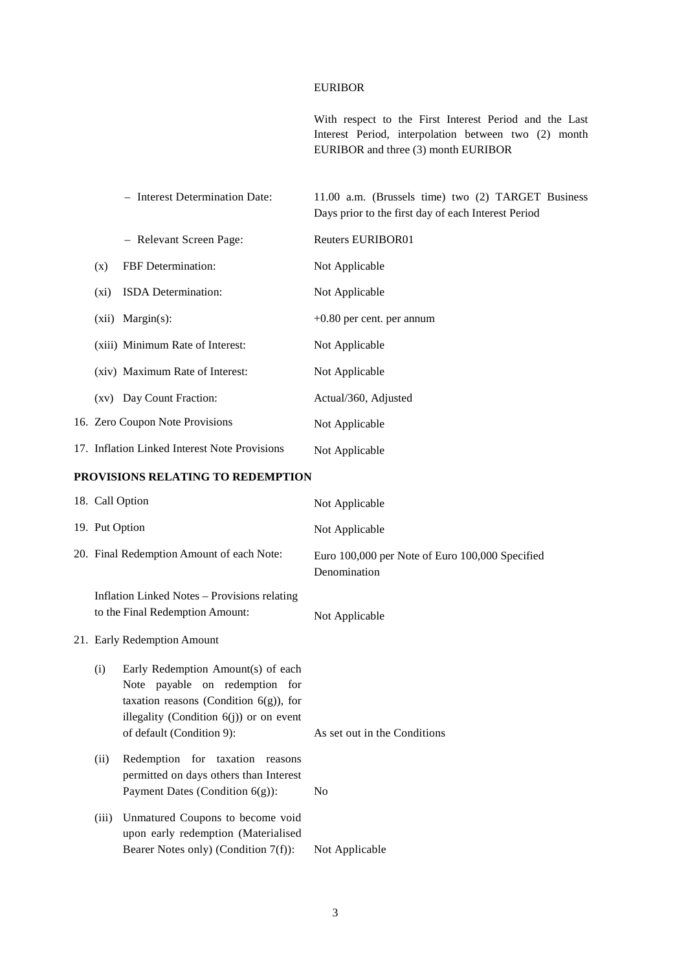### EURIBOR

With respect to the First Interest Period and the Last Interest Period, interpolation between two (2) month EURIBOR and three (3) month EURIBOR

|                                   |                | - Interest Determination Date:                                                                                                                               | 11.00 a.m. (Brussels time) two (2) TARGET Business<br>Days prior to the first day of each Interest Period |
|-----------------------------------|----------------|--------------------------------------------------------------------------------------------------------------------------------------------------------------|-----------------------------------------------------------------------------------------------------------|
|                                   |                | - Relevant Screen Page:                                                                                                                                      | <b>Reuters EURIBOR01</b>                                                                                  |
|                                   | (x)            | FBF Determination:                                                                                                                                           | Not Applicable                                                                                            |
|                                   |                |                                                                                                                                                              |                                                                                                           |
|                                   | $(x_i)$        | ISDA Determination:                                                                                                                                          | Not Applicable                                                                                            |
|                                   |                | (xii) Margin(s):                                                                                                                                             | $+0.80$ per cent. per annum                                                                               |
|                                   |                | (xiii) Minimum Rate of Interest:                                                                                                                             | Not Applicable                                                                                            |
|                                   |                | (xiv) Maximum Rate of Interest:                                                                                                                              | Not Applicable                                                                                            |
|                                   |                | (xv) Day Count Fraction:                                                                                                                                     | Actual/360, Adjusted                                                                                      |
|                                   |                | 16. Zero Coupon Note Provisions                                                                                                                              | Not Applicable                                                                                            |
|                                   |                | 17. Inflation Linked Interest Note Provisions                                                                                                                | Not Applicable                                                                                            |
| PROVISIONS RELATING TO REDEMPTION |                |                                                                                                                                                              |                                                                                                           |
|                                   |                | 18. Call Option                                                                                                                                              | Not Applicable                                                                                            |
|                                   | 19. Put Option |                                                                                                                                                              | Not Applicable                                                                                            |
|                                   |                | 20. Final Redemption Amount of each Note:                                                                                                                    | Euro 100,000 per Note of Euro 100,000 Specified<br>Denomination                                           |
|                                   |                | <b>Inflation Linked Notes - Provisions relating</b><br>to the Final Redemption Amount:                                                                       | Not Applicable                                                                                            |
|                                   |                | 21. Early Redemption Amount                                                                                                                                  |                                                                                                           |
|                                   | (i)            | Early Redemption Amount(s) of each<br>Note payable on redemption for<br>taxation reasons (Condition $6(g)$ ), for<br>illegality (Condition 6(j)) or on event |                                                                                                           |

- (ii) Redemption for taxation reasons permitted on days others than Interest Payment Dates (Condition 6(g)): No
- (iii) Unmatured Coupons to become void upon early redemption (Materialised Bearer Notes only) (Condition 7(f)): Not Applicable

of default (Condition 9): As set out in the Conditions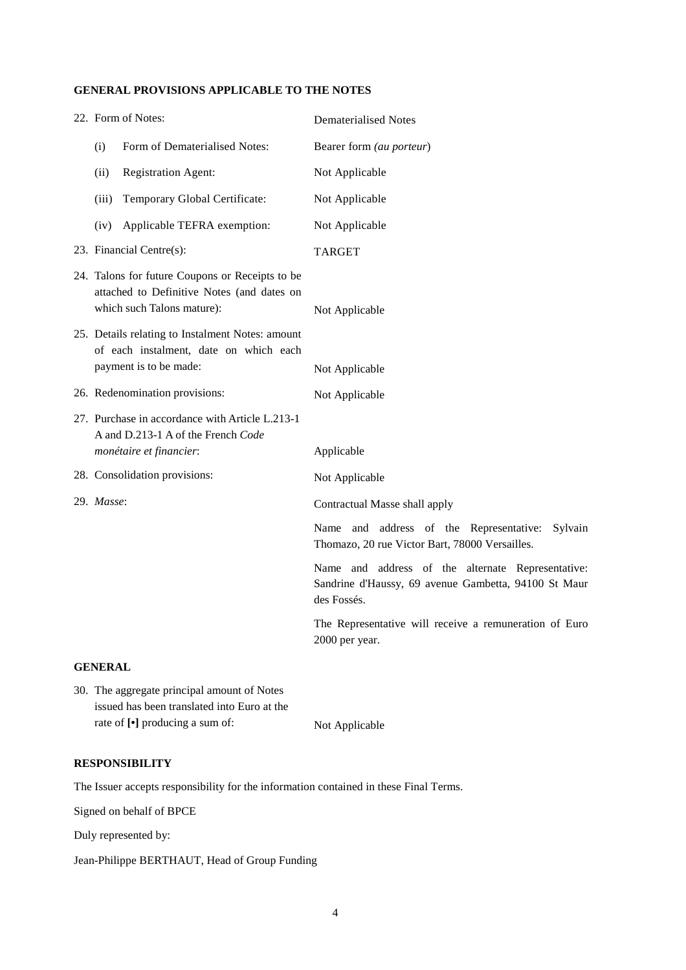### **GENERAL PROVISIONS APPLICABLE TO THE NOTES**

|            | 22. Form of Notes:                                                                                                          |                                                                                                                  | <b>Dematerialised Notes</b>                                                                                              |
|------------|-----------------------------------------------------------------------------------------------------------------------------|------------------------------------------------------------------------------------------------------------------|--------------------------------------------------------------------------------------------------------------------------|
|            | (i)                                                                                                                         | Form of Dematerialised Notes:                                                                                    | Bearer form (au porteur)                                                                                                 |
|            | (ii)                                                                                                                        | <b>Registration Agent:</b>                                                                                       | Not Applicable                                                                                                           |
|            | (iii)                                                                                                                       | Temporary Global Certificate:                                                                                    | Not Applicable                                                                                                           |
|            | (iv)                                                                                                                        | Applicable TEFRA exemption:                                                                                      | Not Applicable                                                                                                           |
|            |                                                                                                                             | 23. Financial Centre(s):                                                                                         | <b>TARGET</b>                                                                                                            |
|            | 24. Talons for future Coupons or Receipts to be<br>attached to Definitive Notes (and dates on<br>which such Talons mature): |                                                                                                                  | Not Applicable                                                                                                           |
|            | 25. Details relating to Instalment Notes: amount<br>of each instalment, date on which each<br>payment is to be made:        |                                                                                                                  | Not Applicable                                                                                                           |
|            | 26. Redenomination provisions:                                                                                              |                                                                                                                  | Not Applicable                                                                                                           |
|            |                                                                                                                             | 27. Purchase in accordance with Article L.213-1<br>A and D.213-1 A of the French Code<br>monétaire et financier: | Applicable                                                                                                               |
|            |                                                                                                                             | 28. Consolidation provisions:                                                                                    | Not Applicable                                                                                                           |
| 29. Masse: |                                                                                                                             |                                                                                                                  | Contractual Masse shall apply                                                                                            |
|            |                                                                                                                             |                                                                                                                  | Name and address of the Representative:<br>Sylvain<br>Thomazo, 20 rue Victor Bart, 78000 Versailles.                     |
|            |                                                                                                                             |                                                                                                                  | Name and address of the alternate Representative:<br>Sandrine d'Haussy, 69 avenue Gambetta, 94100 St Maur<br>des Fossés. |
|            |                                                                                                                             |                                                                                                                  | The Representative will receive a remuneration of Euro<br>2000 per year.                                                 |
|            | <b>GENERAL</b>                                                                                                              |                                                                                                                  |                                                                                                                          |

30. The aggregate principal amount of Notes issued has been translated into Euro at the rate of  $[\cdot]$  producing a sum of: Not Applicable

## **RESPONSIBILITY**

The Issuer accepts responsibility for the information contained in these Final Terms.

Signed on behalf of BPCE

Duly represented by:

Jean-Philippe BERTHAUT, Head of Group Funding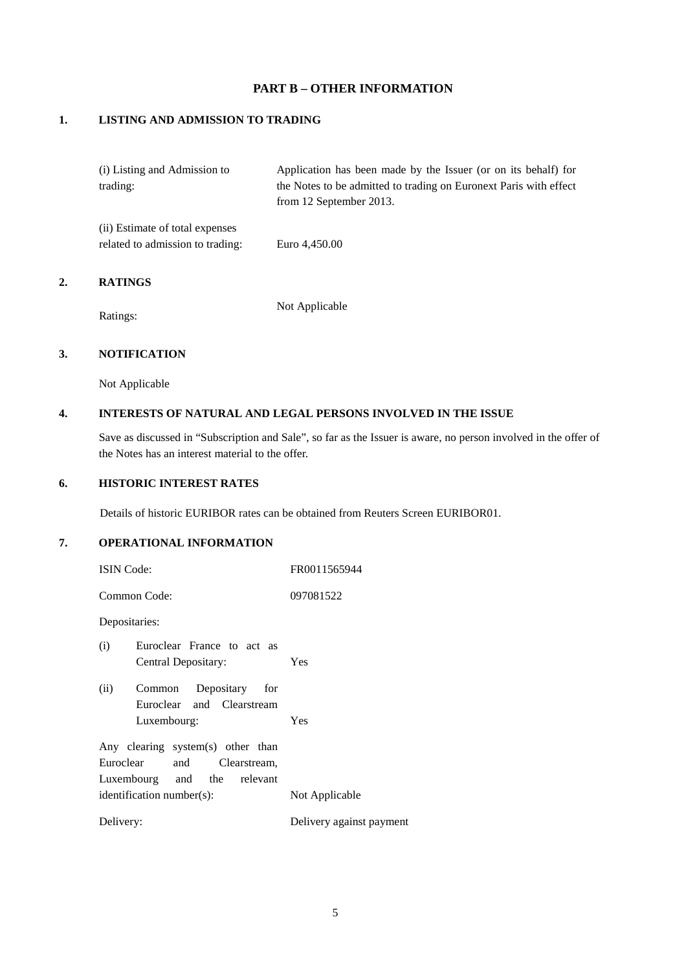# **PART B – OTHER INFORMATION**

# **1. LISTING AND ADMISSION TO TRADING**

| Application has been made by the Issuer (or on its behalf) for    |
|-------------------------------------------------------------------|
| the Notes to be admitted to trading on Euronext Paris with effect |
| from 12 September 2013.                                           |
|                                                                   |
| Euro 4,450.00                                                     |
|                                                                   |

#### **2. RATINGS**

Ratings:

Not Applicable

# **3. NOTIFICATION**

Not Applicable

### **4. INTERESTS OF NATURAL AND LEGAL PERSONS INVOLVED IN THE ISSUE**

Save as discussed in "Subscription and Sale", so far as the Issuer is aware, no person involved in the offer of the Notes has an interest material to the offer.

### **6. HISTORIC INTEREST RATES**

Details of historic EURIBOR rates can be obtained from Reuters Screen EURIBOR01.

# **7. OPERATIONAL INFORMATION**

| <b>ISIN</b> Code:                 | FR0011565944             |  |
|-----------------------------------|--------------------------|--|
| Common Code:                      | 097081522                |  |
| Depositaries:                     |                          |  |
| (i)<br>Euroclear France to act as |                          |  |
| Central Depositary:               | Yes                      |  |
| Depositary for<br>(ii)<br>Common  |                          |  |
| Euroclear and Clearstream         |                          |  |
| Luxembourg:                       | Yes                      |  |
| Any clearing system(s) other than |                          |  |
| Euroclear<br>and Clearstream,     |                          |  |
| Luxembourg and the relevant       |                          |  |
| identification number(s):         | Not Applicable           |  |
| Delivery:                         | Delivery against payment |  |